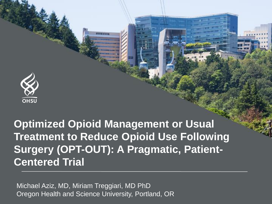

### **Optimized Opioid Management or Usual Treatment to Reduce Opioid Use Following Surgery (OPT-OUT): A Pragmatic, Patient-Centered Trial**

Michael Aziz, MD, Miriam Treggiari, MD PhD Oregon Health and Science University, Portland, OR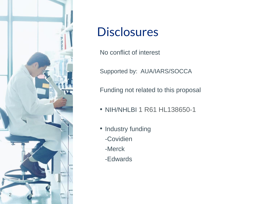

### **Disclosures**

No conflict of interest

Supported by: AUA/IARS/SOCCA

Funding not related to this proposal

- NIH/NHLBI 1 R61 HL138650-1
- Industry funding
	- -Covidien
	- -Merck
	- -Edwards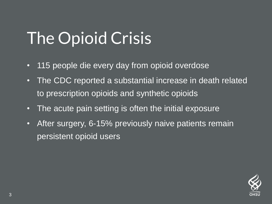## The Opioid Crisis

- 115 people die every day from opioid overdose
- The CDC reported a substantial increase in death related to prescription opioids and synthetic opioids
- The acute pain setting is often the initial exposure
- After surgery, 6-15% previously naive patients remain persistent opioid users

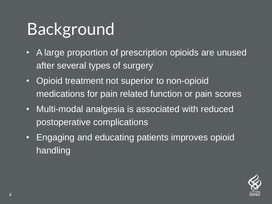## Background

- A large proportion of prescription opioids are unused after several types of surgery
- Opioid treatment not superior to non-opioid medications for pain related function or pain scores
- Multi-modal analgesia is associated with reduced postoperative complications
- Engaging and educating patients improves opioid handling

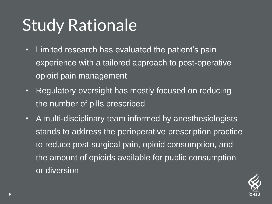## Study Rationale

- Limited research has evaluated the patient's pain experience with a tailored approach to post-operative opioid pain management
- Regulatory oversight has mostly focused on reducing the number of pills prescribed
- A multi-disciplinary team informed by anesthesiologists stands to address the perioperative prescription practice to reduce post-surgical pain, opioid consumption, and the amount of opioids available for public consumption or diversion

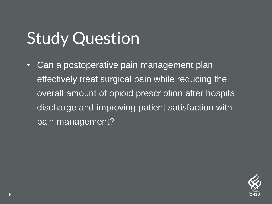## Study Question

• Can a postoperative pain management plan effectively treat surgical pain while reducing the overall amount of opioid prescription after hospital discharge and improving patient satisfaction with pain management?

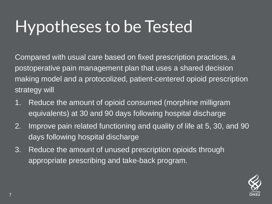## Hypotheses to be Tested

Compared with usual care based on fixed prescription practices, a postoperative pain management plan that uses a shared decision making model and a protocolized, patient-centered opioid prescription strategy will

- 1. Reduce the amount of opioid consumed (morphine milligram equivalents) at 30 and 90 days following hospital discharge
- 2. Improve pain related functioning and quality of life at 5, 30, and 90 days following hospital discharge
- 3. Reduce the amount of unused prescription opioids through appropriate prescribing and take-back program.

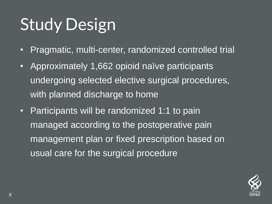## Study Design

- Pragmatic, multi-center, randomized controlled trial
- Approximately 1,662 opioid naïve participants undergoing selected elective surgical procedures, with planned discharge to home
- Participants will be randomized 1:1 to pain managed according to the postoperative pain management plan or fixed prescription based on usual care for the surgical procedure

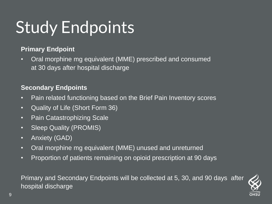# Study Endpoints

#### **Primary Endpoint**

• Oral morphine mg equivalent (MME) prescribed and consumed at 30 days after hospital discharge

#### **Secondary Endpoints**

- Pain related functioning based on the Brief Pain Inventory scores
- Quality of Life (Short Form 36)
- Pain Catastrophizing Scale
- Sleep Quality (PROMIS)
- Anxiety (GAD)
- Oral morphine mg equivalent (MME) unused and unreturned
- Proportion of patients remaining on opioid prescription at 90 days

Primary and Secondary Endpoints will be collected at 5, 30, and 90 days after hospital discharge

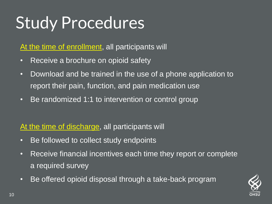## Study Procedures

At the time of enrollment, all participants will

- Receive a brochure on opioid safety
- Download and be trained in the use of a phone application to report their pain, function, and pain medication use
- Be randomized 1:1 to intervention or control group

#### At the time of discharge, all participants will

- Be followed to collect study endpoints
- Receive financial incentives each time they report or complete a required survey
- Be offered opioid disposal through a take-back program

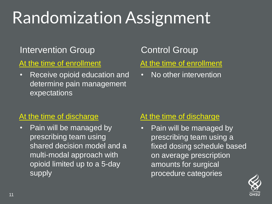# Randomization Assignment

#### Intervention Group

#### At the time of enrollment

• Receive opioid education and determine pain management expectations

#### Control Group

#### At the time of enrollment

• No other intervention

#### At the time of discharge

• Pain will be managed by prescribing team using shared decision model and a multi-modal approach with opioid limited up to a 5-day supply

#### At the time of discharge

Pain will be managed by prescribing team using a fixed dosing schedule based on average prescription amounts for surgical procedure categories

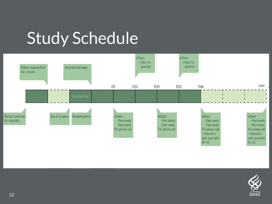### Study Schedule



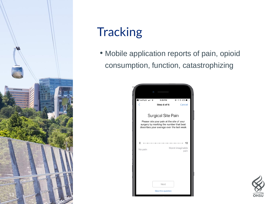

### **Tracking**

• Mobile application reports of pain, opioid consumption, function, catastrophizing



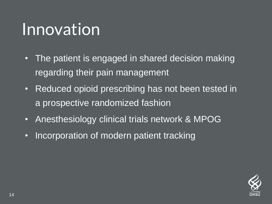## **Innovation**

- The patient is engaged in shared decision making regarding their pain management
- Reduced opioid prescribing has not been tested in a prospective randomized fashion
- Anesthesiology clinical trials network & MPOG
- Incorporation of modern patient tracking

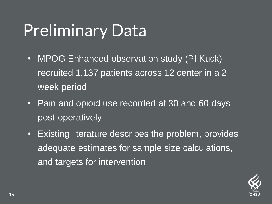## Preliminary Data

- MPOG Enhanced observation study (PI Kuck) recruited 1,137 patients across 12 center in a 2 week period
- Pain and opioid use recorded at 30 and 60 days post-operatively
- Existing literature describes the problem, provides adequate estimates for sample size calculations, and targets for intervention

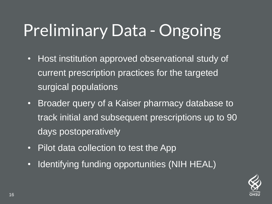# Preliminary Data - Ongoing

- Host institution approved observational study of current prescription practices for the targeted surgical populations
- Broader query of a Kaiser pharmacy database to track initial and subsequent prescriptions up to 90 days postoperatively
- Pilot data collection to test the App
- Identifying funding opportunities (NIH HEAL)

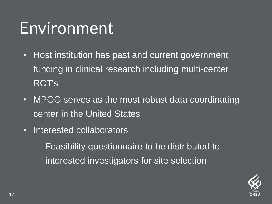## Environment

- Host institution has past and current government funding in clinical research including multi-center RCT's
- MPOG serves as the most robust data coordinating center in the United States
- Interested collaborators
	- Feasibility questionnaire to be distributed to interested investigators for site selection

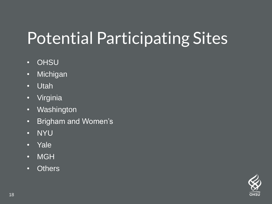## Potential Participating Sites

- OHSU
- Michigan
- Utah
- Virginia
- Washington
- Brigham and Women's
- NYU
- Yale
- MGH
- Others

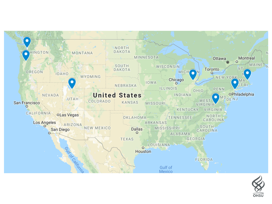